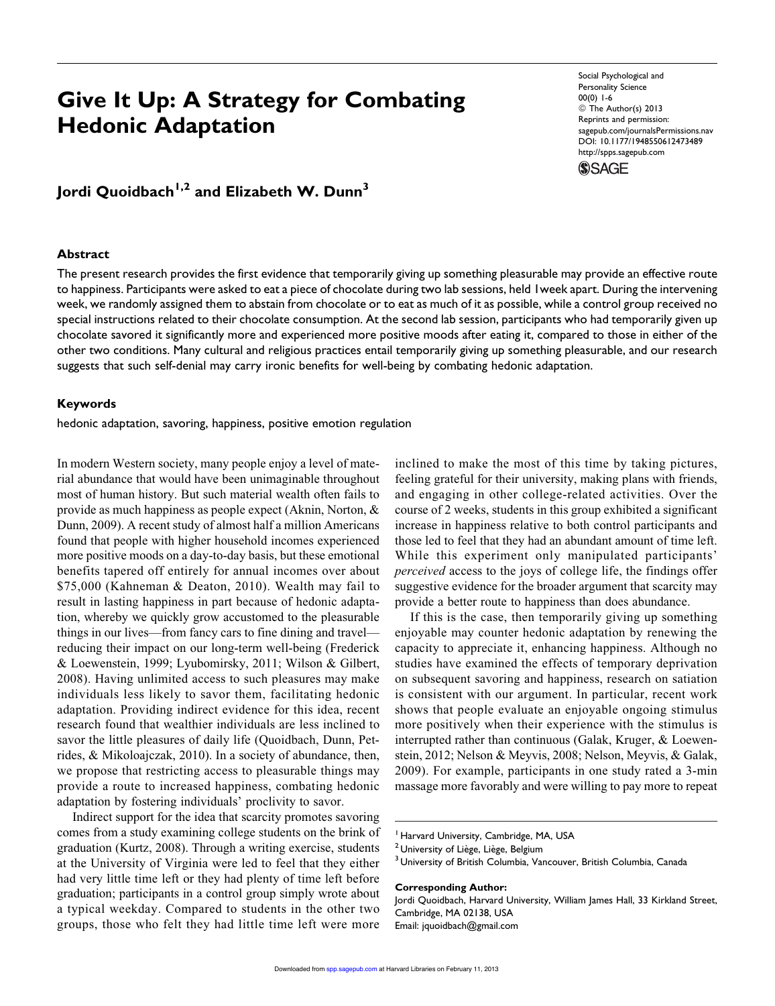# Give It Up: A Strategy for Combating Hedonic Adaptation

Social Psychological and Personality Science  $00(0)$  1-6 © The Author(s) 2013 Reprints and permission: sagepub.com/journalsPermissions.nav DOI: 10.1177/1948550612473489 http://spps.sagepub.com



# Jordi Quoidbach<sup>1,2</sup> and Elizabeth W. Dunn<sup>3</sup>

#### Abstract

The present research provides the first evidence that temporarily giving up something pleasurable may provide an effective route to happiness. Participants were asked to eat a piece of chocolate during two lab sessions, held 1week apart. During the intervening week, we randomly assigned them to abstain from chocolate or to eat as much of it as possible, while a control group received no special instructions related to their chocolate consumption. At the second lab session, participants who had temporarily given up chocolate savored it significantly more and experienced more positive moods after eating it, compared to those in either of the other two conditions. Many cultural and religious practices entail temporarily giving up something pleasurable, and our research suggests that such self-denial may carry ironic benefits for well-being by combating hedonic adaptation.

#### Keywords

hedonic adaptation, savoring, happiness, positive emotion regulation

In modern Western society, many people enjoy a level of material abundance that would have been unimaginable throughout most of human history. But such material wealth often fails to provide as much happiness as people expect (Aknin, Norton, & Dunn, 2009). A recent study of almost half a million Americans found that people with higher household incomes experienced more positive moods on a day-to-day basis, but these emotional benefits tapered off entirely for annual incomes over about \$75,000 (Kahneman & Deaton, 2010). Wealth may fail to result in lasting happiness in part because of hedonic adaptation, whereby we quickly grow accustomed to the pleasurable things in our lives—from fancy cars to fine dining and travel reducing their impact on our long-term well-being (Frederick & Loewenstein, 1999; Lyubomirsky, 2011; Wilson & Gilbert, 2008). Having unlimited access to such pleasures may make individuals less likely to savor them, facilitating hedonic adaptation. Providing indirect evidence for this idea, recent research found that wealthier individuals are less inclined to savor the little pleasures of daily life (Quoidbach, Dunn, Petrides, & Mikoloajczak, 2010). In a society of abundance, then, we propose that restricting access to pleasurable things may provide a route to increased happiness, combating hedonic adaptation by fostering individuals' proclivity to savor.

Indirect support for the idea that scarcity promotes savoring comes from a study examining college students on the brink of graduation (Kurtz, 2008). Through a writing exercise, students at the University of Virginia were led to feel that they either had very little time left or they had plenty of time left before graduation; participants in a control group simply wrote about a typical weekday. Compared to students in the other two groups, those who felt they had little time left were more

inclined to make the most of this time by taking pictures, feeling grateful for their university, making plans with friends, and engaging in other college-related activities. Over the course of 2 weeks, students in this group exhibited a significant increase in happiness relative to both control participants and those led to feel that they had an abundant amount of time left. While this experiment only manipulated participants' perceived access to the joys of college life, the findings offer suggestive evidence for the broader argument that scarcity may provide a better route to happiness than does abundance.

If this is the case, then temporarily giving up something enjoyable may counter hedonic adaptation by renewing the capacity to appreciate it, enhancing happiness. Although no studies have examined the effects of temporary deprivation on subsequent savoring and happiness, research on satiation is consistent with our argument. In particular, recent work shows that people evaluate an enjoyable ongoing stimulus more positively when their experience with the stimulus is interrupted rather than continuous (Galak, Kruger, & Loewenstein, 2012; Nelson & Meyvis, 2008; Nelson, Meyvis, & Galak, 2009). For example, participants in one study rated a 3-min massage more favorably and were willing to pay more to repeat

#### Corresponding Author:

Jordi Quoidbach, Harvard University, William James Hall, 33 Kirkland Street, Cambridge, MA 02138, USA Email: jquoidbach@gmail.com

<sup>&</sup>lt;sup>1</sup> Harvard University, Cambridge, MA, USA

<sup>&</sup>lt;sup>2</sup> University of Liège, Liège, Belgium<br><sup>3</sup> University of British Columbia, Vancouver, British Columbia, Canada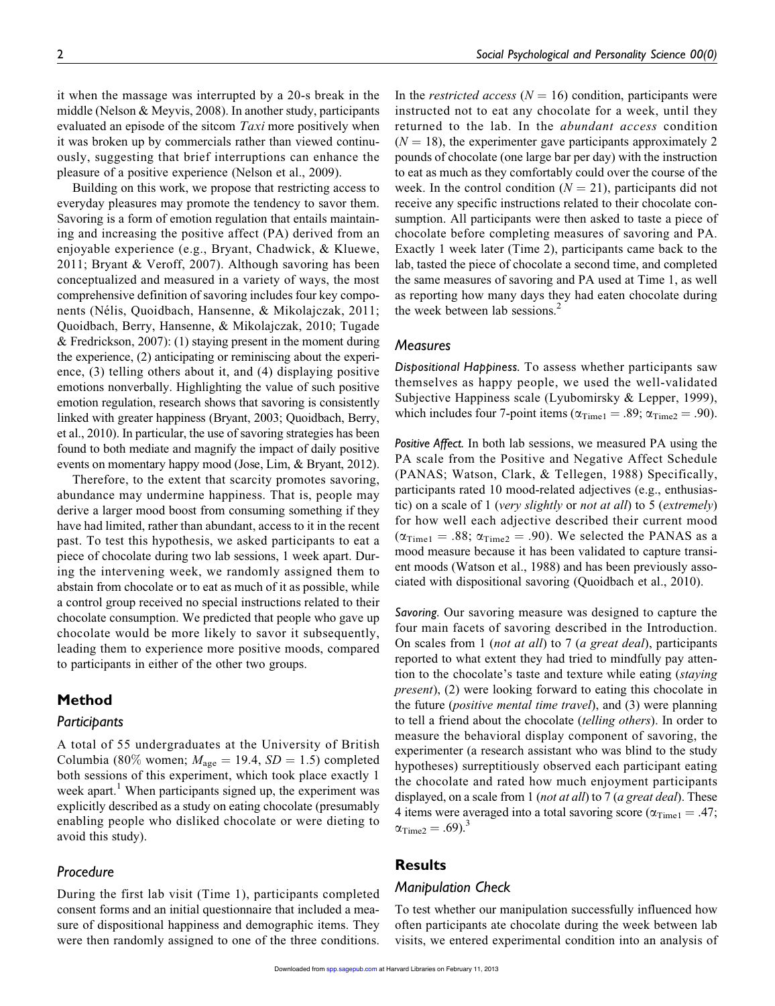it when the massage was interrupted by a 20-s break in the middle (Nelson & Meyvis, 2008). In another study, participants evaluated an episode of the sitcom Taxi more positively when it was broken up by commercials rather than viewed continuously, suggesting that brief interruptions can enhance the pleasure of a positive experience (Nelson et al., 2009).

Building on this work, we propose that restricting access to everyday pleasures may promote the tendency to savor them. Savoring is a form of emotion regulation that entails maintaining and increasing the positive affect (PA) derived from an enjoyable experience (e.g., Bryant, Chadwick, & Kluewe, 2011; Bryant & Veroff, 2007). Although savoring has been conceptualized and measured in a variety of ways, the most comprehensive definition of savoring includes four key components (Nélis, Quoidbach, Hansenne, & Mikolajczak, 2011; Quoidbach, Berry, Hansenne, & Mikolajczak, 2010; Tugade & Fredrickson, 2007): (1) staying present in the moment during the experience, (2) anticipating or reminiscing about the experience, (3) telling others about it, and (4) displaying positive emotions nonverbally. Highlighting the value of such positive emotion regulation, research shows that savoring is consistently linked with greater happiness (Bryant, 2003; Quoidbach, Berry, et al., 2010). In particular, the use of savoring strategies has been found to both mediate and magnify the impact of daily positive events on momentary happy mood (Jose, Lim, & Bryant, 2012).

Therefore, to the extent that scarcity promotes savoring, abundance may undermine happiness. That is, people may derive a larger mood boost from consuming something if they have had limited, rather than abundant, access to it in the recent past. To test this hypothesis, we asked participants to eat a piece of chocolate during two lab sessions, 1 week apart. During the intervening week, we randomly assigned them to abstain from chocolate or to eat as much of it as possible, while a control group received no special instructions related to their chocolate consumption. We predicted that people who gave up chocolate would be more likely to savor it subsequently, leading them to experience more positive moods, compared to participants in either of the other two groups.

# Method

# **Participants**

A total of 55 undergraduates at the University of British Columbia (80% women;  $M_{\text{age}} = 19.4$ ,  $SD = 1.5$ ) completed both sessions of this experiment, which took place exactly 1 week apart.<sup>1</sup> When participants signed up, the experiment was explicitly described as a study on eating chocolate (presumably enabling people who disliked chocolate or were dieting to avoid this study).

## Procedure

During the first lab visit (Time 1), participants completed consent forms and an initial questionnaire that included a measure of dispositional happiness and demographic items. They were then randomly assigned to one of the three conditions.

In the *restricted access* ( $N = 16$ ) condition, participants were instructed not to eat any chocolate for a week, until they returned to the lab. In the *abundant access* condition  $(N = 18)$ , the experimenter gave participants approximately 2 pounds of chocolate (one large bar per day) with the instruction to eat as much as they comfortably could over the course of the week. In the control condition  $(N = 21)$ , participants did not receive any specific instructions related to their chocolate consumption. All participants were then asked to taste a piece of chocolate before completing measures of savoring and PA. Exactly 1 week later (Time 2), participants came back to the lab, tasted the piece of chocolate a second time, and completed the same measures of savoring and PA used at Time 1, as well as reporting how many days they had eaten chocolate during the week between lab sessions.<sup>2</sup>

## **Measures**

Dispositional Happiness. To assess whether participants saw themselves as happy people, we used the well-validated Subjective Happiness scale (Lyubomirsky & Lepper, 1999), which includes four 7-point items ( $\alpha_{Time1} = .89$ ;  $\alpha_{Time2} = .90$ ).

Positive Affect. In both lab sessions, we measured PA using the PA scale from the Positive and Negative Affect Schedule (PANAS; Watson, Clark, & Tellegen, 1988) Specifically, participants rated 10 mood-related adjectives (e.g., enthusiastic) on a scale of 1 (very slightly or not at all) to 5 (extremely) for how well each adjective described their current mood  $(\alpha_{Time1} = .88; \alpha_{Time2} = .90)$ . We selected the PANAS as a mood measure because it has been validated to capture transient moods (Watson et al., 1988) and has been previously associated with dispositional savoring (Quoidbach et al., 2010).

Savoring. Our savoring measure was designed to capture the four main facets of savoring described in the Introduction. On scales from 1 (not at all) to 7 (a great deal), participants reported to what extent they had tried to mindfully pay attention to the chocolate's taste and texture while eating (staying present), (2) were looking forward to eating this chocolate in the future (*positive mental time travel*), and (3) were planning to tell a friend about the chocolate (telling others). In order to measure the behavioral display component of savoring, the experimenter (a research assistant who was blind to the study hypotheses) surreptitiously observed each participant eating the chocolate and rated how much enjoyment participants displayed, on a scale from 1 (*not at all*) to 7 (*a great deal*). These 4 items were averaged into a total savoring score ( $\alpha_{Time1} = .47$ ;  $\alpha_{\text{Time2}} = .69$ .<sup>3</sup>

# **Results**

## Manipulation Check

To test whether our manipulation successfully influenced how often participants ate chocolate during the week between lab visits, we entered experimental condition into an analysis of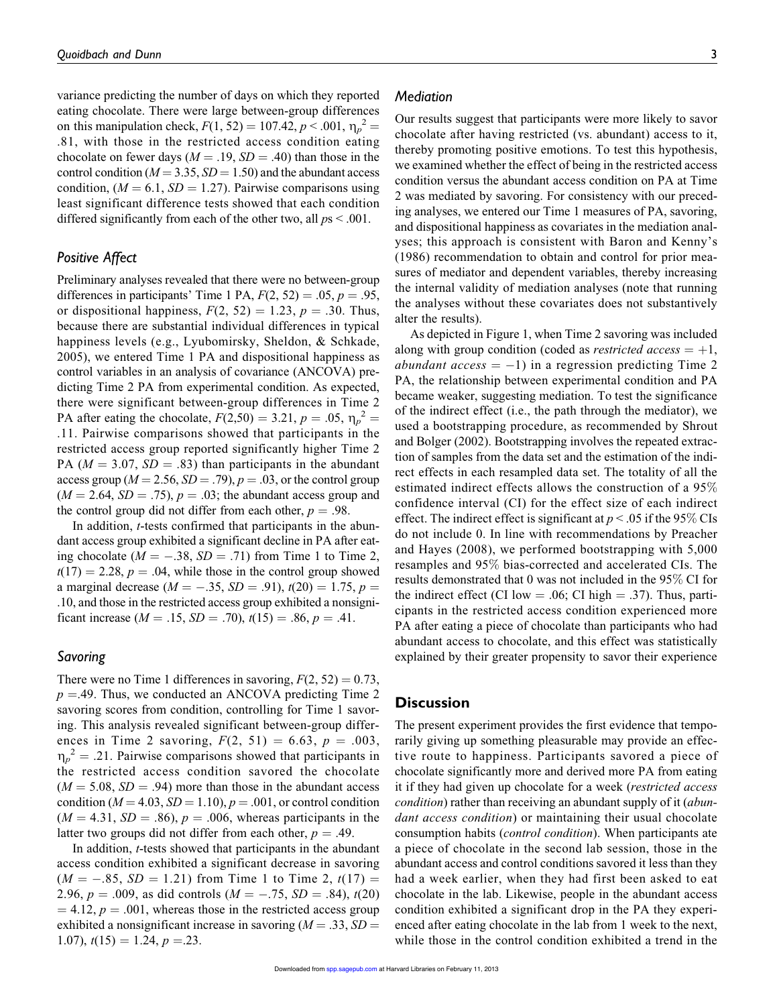variance predicting the number of days on which they reported eating chocolate. There were large between-group differences on this manipulation check,  $F(1, 52) = 107.42, p < .001, \eta_p^2 =$ .81, with those in the restricted access condition eating chocolate on fewer days ( $M = .19$ ,  $SD = .40$ ) than those in the control condition ( $M = 3.35$ ,  $SD = 1.50$ ) and the abundant access condition,  $(M = 6.1, SD = 1.27)$ . Pairwise comparisons using least significant difference tests showed that each condition differed significantly from each of the other two, all  $ps < .001$ .

## Positive Affect

Preliminary analyses revealed that there were no between-group differences in participants' Time 1 PA,  $F(2, 52) = .05$ ,  $p = .95$ , or dispositional happiness,  $F(2, 52) = 1.23$ ,  $p = .30$ . Thus, because there are substantial individual differences in typical happiness levels (e.g., Lyubomirsky, Sheldon, & Schkade, 2005), we entered Time 1 PA and dispositional happiness as control variables in an analysis of covariance (ANCOVA) predicting Time 2 PA from experimental condition. As expected, there were significant between-group differences in Time 2 PA after eating the chocolate,  $F(2,50) = 3.21, p = .05, \eta_p^2 =$ .11. Pairwise comparisons showed that participants in the restricted access group reported significantly higher Time 2 PA ( $M = 3.07$ ,  $SD = .83$ ) than participants in the abundant access group ( $M = 2.56$ ,  $SD = .79$ ),  $p = .03$ , or the control group  $(M = 2.64, SD = .75), p = .03$ ; the abundant access group and the control group did not differ from each other,  $p = .98$ .

In addition, *t*-tests confirmed that participants in the abundant access group exhibited a significant decline in PA after eating chocolate ( $M = -.38$ ,  $SD = .71$ ) from Time 1 to Time 2,  $t(17) = 2.28$ ,  $p = .04$ , while those in the control group showed a marginal decrease ( $M = -.35$ ,  $SD = .91$ ),  $t(20) = 1.75$ ,  $p =$ .10, and those in the restricted access group exhibited a nonsignificant increase ( $M = .15$ ,  $SD = .70$ ),  $t(15) = .86$ ,  $p = .41$ .

#### Savoring

There were no Time 1 differences in savoring,  $F(2, 52) = 0.73$ ,  $p = .49$ . Thus, we conducted an ANCOVA predicting Time 2 savoring scores from condition, controlling for Time 1 savoring. This analysis revealed significant between-group differences in Time 2 savoring,  $F(2, 51) = 6.63$ ,  $p = .003$ ,  $\eta_p^2 = .21$ . Pairwise comparisons showed that participants in the restricted access condition savored the chocolate  $(M = 5.08, SD = .94)$  more than those in the abundant access condition ( $M = 4.03$ ,  $SD = 1.10$ ),  $p = .001$ , or control condition  $(M = 4.31, SD = .86), p = .006$ , whereas participants in the latter two groups did not differ from each other,  $p = .49$ .

In addition, t-tests showed that participants in the abundant access condition exhibited a significant decrease in savoring  $(M = -.85, SD = 1.21)$  from Time 1 to Time 2,  $t(17) =$ 2.96,  $p = .009$ , as did controls ( $M = -.75$ ,  $SD = .84$ ),  $t(20)$  $=$  4.12,  $p = .001$ , whereas those in the restricted access group exhibited a nonsignificant increase in savoring  $(M = .33, SD =$ 1.07),  $t(15) = 1.24$ ,  $p = 23$ .

#### **Mediation**

Our results suggest that participants were more likely to savor chocolate after having restricted (vs. abundant) access to it, thereby promoting positive emotions. To test this hypothesis, we examined whether the effect of being in the restricted access condition versus the abundant access condition on PA at Time 2 was mediated by savoring. For consistency with our preceding analyses, we entered our Time 1 measures of PA, savoring, and dispositional happiness as covariates in the mediation analyses; this approach is consistent with Baron and Kenny's (1986) recommendation to obtain and control for prior measures of mediator and dependent variables, thereby increasing the internal validity of mediation analyses (note that running the analyses without these covariates does not substantively alter the results).

As depicted in Figure 1, when Time 2 savoring was included along with group condition (coded as *restricted access*  $= +1$ , *abundant access*  $= -1$ ) in a regression predicting Time 2 PA, the relationship between experimental condition and PA became weaker, suggesting mediation. To test the significance of the indirect effect (i.e., the path through the mediator), we used a bootstrapping procedure, as recommended by Shrout and Bolger (2002). Bootstrapping involves the repeated extraction of samples from the data set and the estimation of the indirect effects in each resampled data set. The totality of all the estimated indirect effects allows the construction of a 95% confidence interval (CI) for the effect size of each indirect effect. The indirect effect is significant at  $p < 0.05$  if the 95% CIs do not include 0. In line with recommendations by Preacher and Hayes (2008), we performed bootstrapping with 5,000 resamples and 95% bias-corrected and accelerated CIs. The results demonstrated that 0 was not included in the 95% CI for the indirect effect (CI low  $= .06$ ; CI high  $= .37$ ). Thus, participants in the restricted access condition experienced more PA after eating a piece of chocolate than participants who had abundant access to chocolate, and this effect was statistically explained by their greater propensity to savor their experience

## **Discussion**

The present experiment provides the first evidence that temporarily giving up something pleasurable may provide an effective route to happiness. Participants savored a piece of chocolate significantly more and derived more PA from eating it if they had given up chocolate for a week (*restricted access* condition) rather than receiving an abundant supply of it *(abun*dant access condition) or maintaining their usual chocolate consumption habits (*control condition*). When participants ate a piece of chocolate in the second lab session, those in the abundant access and control conditions savored it less than they had a week earlier, when they had first been asked to eat chocolate in the lab. Likewise, people in the abundant access condition exhibited a significant drop in the PA they experienced after eating chocolate in the lab from 1 week to the next, while those in the control condition exhibited a trend in the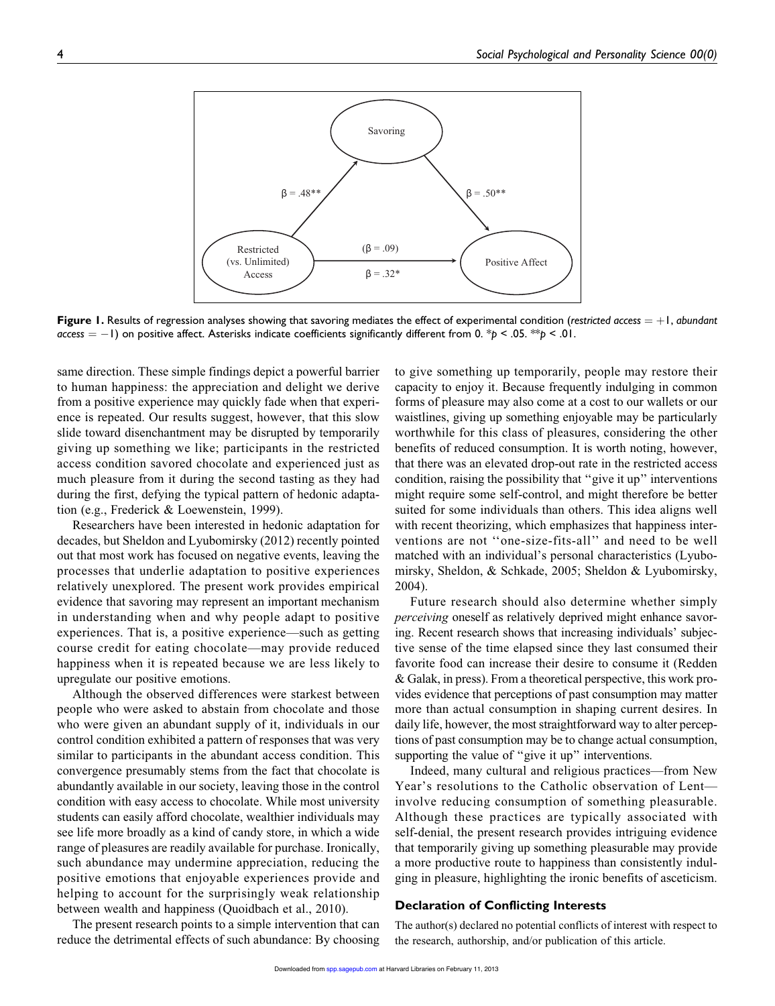

Figure 1. Results of regression analyses showing that savoring mediates the effect of experimental condition (restricted access  $= +1$ , abundant access  $= -1$ ) on positive affect. Asterisks indicate coefficients significantly different from 0. \*p < .05. \*\*p < .01.

same direction. These simple findings depict a powerful barrier to human happiness: the appreciation and delight we derive from a positive experience may quickly fade when that experience is repeated. Our results suggest, however, that this slow slide toward disenchantment may be disrupted by temporarily giving up something we like; participants in the restricted access condition savored chocolate and experienced just as much pleasure from it during the second tasting as they had during the first, defying the typical pattern of hedonic adaptation (e.g., Frederick & Loewenstein, 1999).

Researchers have been interested in hedonic adaptation for decades, but Sheldon and Lyubomirsky (2012) recently pointed out that most work has focused on negative events, leaving the processes that underlie adaptation to positive experiences relatively unexplored. The present work provides empirical evidence that savoring may represent an important mechanism in understanding when and why people adapt to positive experiences. That is, a positive experience—such as getting course credit for eating chocolate—may provide reduced happiness when it is repeated because we are less likely to upregulate our positive emotions.

Although the observed differences were starkest between people who were asked to abstain from chocolate and those who were given an abundant supply of it, individuals in our control condition exhibited a pattern of responses that was very similar to participants in the abundant access condition. This convergence presumably stems from the fact that chocolate is abundantly available in our society, leaving those in the control condition with easy access to chocolate. While most university students can easily afford chocolate, wealthier individuals may see life more broadly as a kind of candy store, in which a wide range of pleasures are readily available for purchase. Ironically, such abundance may undermine appreciation, reducing the positive emotions that enjoyable experiences provide and helping to account for the surprisingly weak relationship between wealth and happiness (Quoidbach et al., 2010).

The present research points to a simple intervention that can reduce the detrimental effects of such abundance: By choosing to give something up temporarily, people may restore their capacity to enjoy it. Because frequently indulging in common forms of pleasure may also come at a cost to our wallets or our waistlines, giving up something enjoyable may be particularly worthwhile for this class of pleasures, considering the other benefits of reduced consumption. It is worth noting, however, that there was an elevated drop-out rate in the restricted access condition, raising the possibility that ''give it up'' interventions might require some self-control, and might therefore be better suited for some individuals than others. This idea aligns well with recent theorizing, which emphasizes that happiness interventions are not ''one-size-fits-all'' and need to be well matched with an individual's personal characteristics (Lyubomirsky, Sheldon, & Schkade, 2005; Sheldon & Lyubomirsky, 2004).

Future research should also determine whether simply perceiving oneself as relatively deprived might enhance savoring. Recent research shows that increasing individuals' subjective sense of the time elapsed since they last consumed their favorite food can increase their desire to consume it (Redden & Galak, in press). From a theoretical perspective, this work provides evidence that perceptions of past consumption may matter more than actual consumption in shaping current desires. In daily life, however, the most straightforward way to alter perceptions of past consumption may be to change actual consumption, supporting the value of "give it up" interventions.

Indeed, many cultural and religious practices—from New Year's resolutions to the Catholic observation of Lent involve reducing consumption of something pleasurable. Although these practices are typically associated with self-denial, the present research provides intriguing evidence that temporarily giving up something pleasurable may provide a more productive route to happiness than consistently indulging in pleasure, highlighting the ironic benefits of asceticism.

#### Declaration of Conflicting Interests

The author(s) declared no potential conflicts of interest with respect to the research, authorship, and/or publication of this article.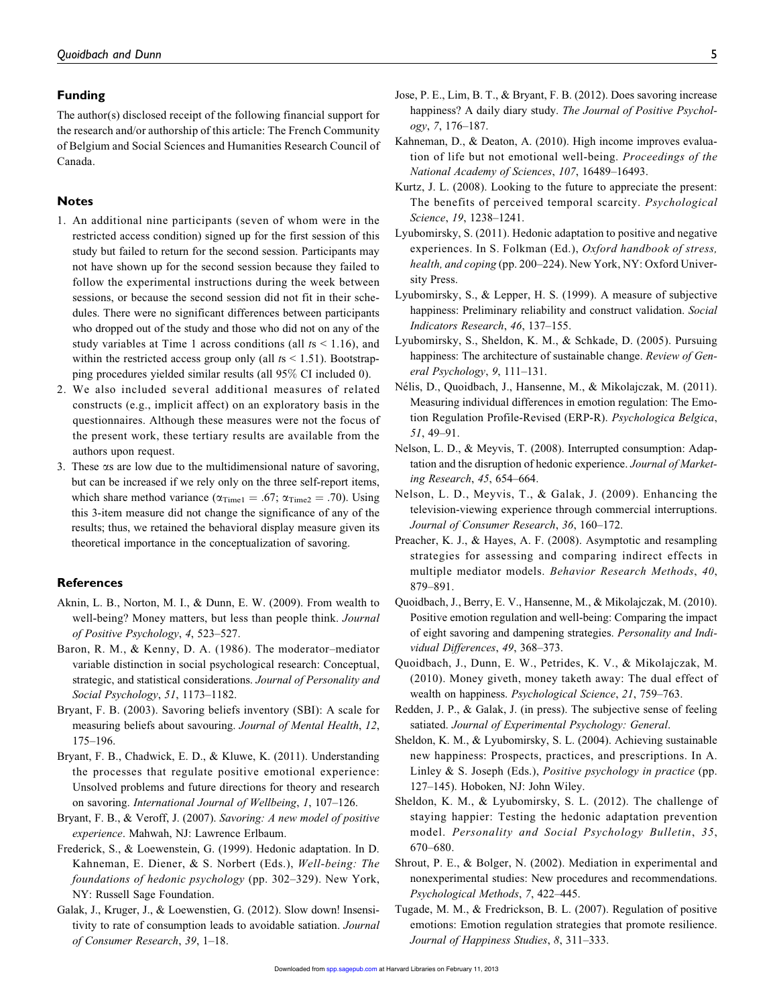## Funding

The author(s) disclosed receipt of the following financial support for the research and/or authorship of this article: The French Community of Belgium and Social Sciences and Humanities Research Council of Canada.

#### **Notes**

- 1. An additional nine participants (seven of whom were in the restricted access condition) signed up for the first session of this study but failed to return for the second session. Participants may not have shown up for the second session because they failed to follow the experimental instructions during the week between sessions, or because the second session did not fit in their schedules. There were no significant differences between participants who dropped out of the study and those who did not on any of the study variables at Time 1 across conditions (all  $ts \le 1.16$ ), and within the restricted access group only (all  $ts < 1.51$ ). Bootstrapping procedures yielded similar results (all 95% CI included 0).
- 2. We also included several additional measures of related constructs (e.g., implicit affect) on an exploratory basis in the questionnaires. Although these measures were not the focus of the present work, these tertiary results are available from the authors upon request.
- 3. These  $\alpha s$  are low due to the multidimensional nature of savoring, but can be increased if we rely only on the three self-report items, which share method variance ( $\alpha_{Time1} = .67$ ;  $\alpha_{Time2} = .70$ ). Using this 3-item measure did not change the significance of any of the results; thus, we retained the behavioral display measure given its theoretical importance in the conceptualization of savoring.

#### References

- Aknin, L. B., Norton, M. I., & Dunn, E. W. (2009). From wealth to well-being? Money matters, but less than people think. Journal of Positive Psychology, 4, 523–527.
- Baron, R. M., & Kenny, D. A. (1986). The moderator–mediator variable distinction in social psychological research: Conceptual, strategic, and statistical considerations. Journal of Personality and Social Psychology, 51, 1173–1182.
- Bryant, F. B. (2003). Savoring beliefs inventory (SBI): A scale for measuring beliefs about savouring. Journal of Mental Health, 12, 175–196.
- Bryant, F. B., Chadwick, E. D., & Kluwe, K. (2011). Understanding the processes that regulate positive emotional experience: Unsolved problems and future directions for theory and research on savoring. International Journal of Wellbeing, 1, 107–126.
- Bryant, F. B., & Veroff, J. (2007). Savoring: A new model of positive experience. Mahwah, NJ: Lawrence Erlbaum.
- Frederick, S., & Loewenstein, G. (1999). Hedonic adaptation. In D. Kahneman, E. Diener, & S. Norbert (Eds.), Well-being: The foundations of hedonic psychology (pp. 302–329). New York, NY: Russell Sage Foundation.
- Galak, J., Kruger, J., & Loewenstien, G. (2012). Slow down! Insensitivity to rate of consumption leads to avoidable satiation. Journal of Consumer Research, 39, 1–18.
- Jose, P. E., Lim, B. T., & Bryant, F. B. (2012). Does savoring increase happiness? A daily diary study. The Journal of Positive Psychology, 7, 176–187.
- Kahneman, D., & Deaton, A. (2010). High income improves evaluation of life but not emotional well-being. Proceedings of the National Academy of Sciences, 107, 16489–16493.
- Kurtz, J. L. (2008). Looking to the future to appreciate the present: The benefits of perceived temporal scarcity. Psychological Science, 19, 1238–1241.
- Lyubomirsky, S. (2011). Hedonic adaptation to positive and negative experiences. In S. Folkman (Ed.), Oxford handbook of stress, health, and coping (pp. 200-224). New York, NY: Oxford University Press.
- Lyubomirsky, S., & Lepper, H. S. (1999). A measure of subjective happiness: Preliminary reliability and construct validation. Social Indicators Research, 46, 137–155.
- Lyubomirsky, S., Sheldon, K. M., & Schkade, D. (2005). Pursuing happiness: The architecture of sustainable change. Review of General Psychology, 9, 111–131.
- Nélis, D., Quoidbach, J., Hansenne, M., & Mikolajczak, M. (2011). Measuring individual differences in emotion regulation: The Emotion Regulation Profile-Revised (ERP-R). Psychologica Belgica, 51, 49–91.
- Nelson, L. D., & Meyvis, T. (2008). Interrupted consumption: Adaptation and the disruption of hedonic experience. Journal of Marketing Research, 45, 654–664.
- Nelson, L. D., Meyvis, T., & Galak, J. (2009). Enhancing the television-viewing experience through commercial interruptions. Journal of Consumer Research, 36, 160–172.
- Preacher, K. J., & Hayes, A. F. (2008). Asymptotic and resampling strategies for assessing and comparing indirect effects in multiple mediator models. Behavior Research Methods, 40, 879–891.
- Quoidbach, J., Berry, E. V., Hansenne, M., & Mikolajczak, M. (2010). Positive emotion regulation and well-being: Comparing the impact of eight savoring and dampening strategies. Personality and Individual Differences, 49, 368–373.
- Quoidbach, J., Dunn, E. W., Petrides, K. V., & Mikolajczak, M. (2010). Money giveth, money taketh away: The dual effect of wealth on happiness. Psychological Science, 21, 759–763.
- Redden, J. P., & Galak, J. (in press). The subjective sense of feeling satiated. Journal of Experimental Psychology: General.
- Sheldon, K. M., & Lyubomirsky, S. L. (2004). Achieving sustainable new happiness: Prospects, practices, and prescriptions. In A. Linley & S. Joseph (Eds.), *Positive psychology in practice* (pp. 127–145). Hoboken, NJ: John Wiley.
- Sheldon, K. M., & Lyubomirsky, S. L. (2012). The challenge of staying happier: Testing the hedonic adaptation prevention model. Personality and Social Psychology Bulletin, 35, 670–680.
- Shrout, P. E., & Bolger, N. (2002). Mediation in experimental and nonexperimental studies: New procedures and recommendations. Psychological Methods, 7, 422–445.
- Tugade, M. M., & Fredrickson, B. L. (2007). Regulation of positive emotions: Emotion regulation strategies that promote resilience. Journal of Happiness Studies, 8, 311–333.